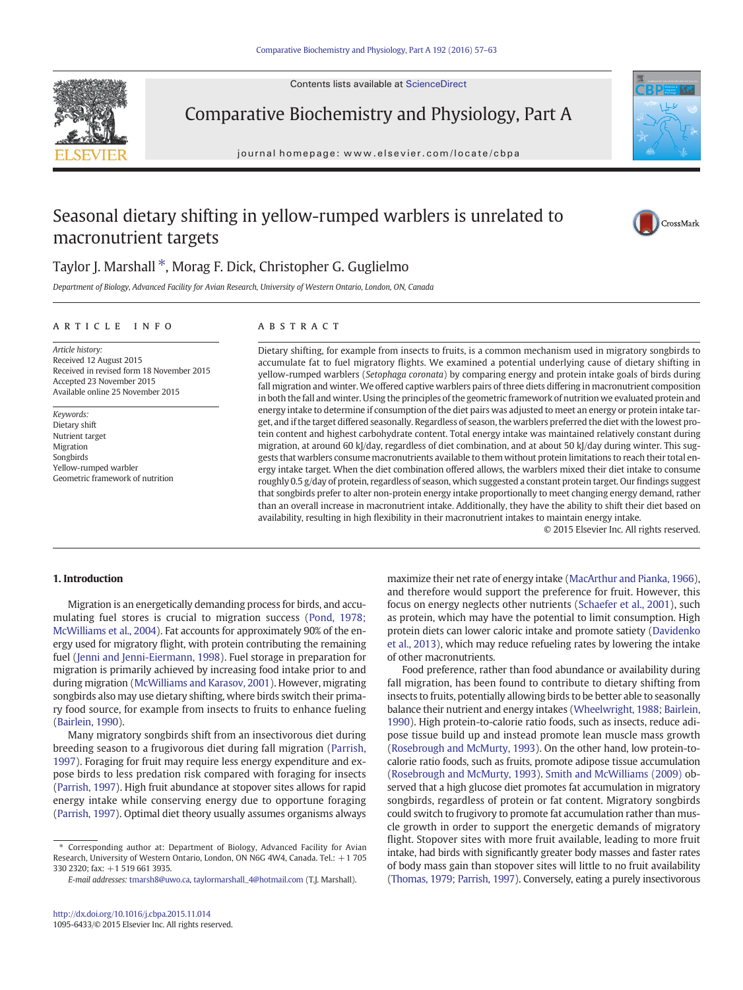Contents lists available at ScienceDirect



Comparative Biochemistry and Physiology, Part A

journal homepage:<www.elsevier.com/locate/cbpa>



# Seasonal dietary shifting in yellow-rumped warblers is unrelated to macronutrient targets



# Taylor J. Marshall  $*$ , Morag F. Dick, Christopher G. Guglielmo

Department of Biology, Advanced Facility for Avian Research, University of Western Ontario, London, ON, Canada

# article info abstract

Article history: Received 12 August 2015 Received in revised form 18 November 2015 Accepted 23 November 2015 Available online 25 November 2015

Keywords: Dietary shift Nutrient target Migration Songbirds Yellow-rumped warbler Geometric framework of nutrition

Dietary shifting, for example from insects to fruits, is a common mechanism used in migratory songbirds to accumulate fat to fuel migratory flights. We examined a potential underlying cause of dietary shifting in yellow-rumped warblers (Setophaga coronata) by comparing energy and protein intake goals of birds during fall migration and winter.We offered captive warblers pairs of three diets differing in macronutrient composition in both the fall and winter. Using the principles of the geometric framework of nutrition we evaluated protein and energy intake to determine if consumption of the diet pairs was adjusted to meet an energy or protein intake target, and if the target differed seasonally. Regardless of season, the warblers preferred the diet with the lowest protein content and highest carbohydrate content. Total energy intake was maintained relatively constant during migration, at around 60 kJ/day, regardless of diet combination, and at about 50 kJ/day during winter. This suggests that warblers consume macronutrients available to them without protein limitations to reach their total energy intake target. When the diet combination offered allows, the warblers mixed their diet intake to consume roughly 0.5 g/day of protein, regardless of season, which suggested a constant protein target. Our findings suggest that songbirds prefer to alter non-protein energy intake proportionally to meet changing energy demand, rather than an overall increase in macronutrient intake. Additionally, they have the ability to shift their diet based on availability, resulting in high flexibility in their macronutrient intakes to maintain energy intake.

© 2015 Elsevier Inc. All rights reserved.

# 1. Introduction

Migration is an energetically demanding process for birds, and accumulating fuel stores is crucial to migration success ([Pond, 1978;](#page-5-0) [McWilliams et al., 2004](#page-5-0)). Fat accounts for approximately 90% of the energy used for migratory flight, with protein contributing the remaining fuel ([Jenni and Jenni-Eiermann, 1998](#page-5-0)). Fuel storage in preparation for migration is primarily achieved by increasing food intake prior to and during migration ([McWilliams and Karasov, 2001](#page-5-0)). However, migrating songbirds also may use dietary shifting, where birds switch their primary food source, for example from insects to fruits to enhance fueling [\(Bairlein, 1990\)](#page-5-0).

Many migratory songbirds shift from an insectivorous diet during breeding season to a frugivorous diet during fall migration ([Parrish,](#page-5-0) [1997\)](#page-5-0). Foraging for fruit may require less energy expenditure and expose birds to less predation risk compared with foraging for insects [\(Parrish, 1997\)](#page-5-0). High fruit abundance at stopover sites allows for rapid energy intake while conserving energy due to opportune foraging [\(Parrish, 1997](#page-5-0)). Optimal diet theory usually assumes organisms always

maximize their net rate of energy intake [\(MacArthur and Pianka, 1966](#page-5-0)), and therefore would support the preference for fruit. However, this focus on energy neglects other nutrients [\(Schaefer et al., 2001](#page-5-0)), such as protein, which may have the potential to limit consumption. High protein diets can lower caloric intake and promote satiety [\(Davidenko](#page-5-0) [et al., 2013\)](#page-5-0), which may reduce refueling rates by lowering the intake of other macronutrients.

Food preference, rather than food abundance or availability during fall migration, has been found to contribute to dietary shifting from insects to fruits, potentially allowing birds to be better able to seasonally balance their nutrient and energy intakes [\(Wheelwright, 1988; Bairlein,](#page-6-0) [1990\)](#page-6-0). High protein-to-calorie ratio foods, such as insects, reduce adipose tissue build up and instead promote lean muscle mass growth [\(Rosebrough and McMurty, 1993](#page-5-0)). On the other hand, low protein-tocalorie ratio foods, such as fruits, promote adipose tissue accumulation [\(Rosebrough and McMurty, 1993](#page-5-0)). [Smith and McWilliams \(2009\)](#page-6-0) observed that a high glucose diet promotes fat accumulation in migratory songbirds, regardless of protein or fat content. Migratory songbirds could switch to frugivory to promote fat accumulation rather than muscle growth in order to support the energetic demands of migratory flight. Stopover sites with more fruit available, leading to more fruit intake, had birds with significantly greater body masses and faster rates of body mass gain than stopover sites will little to no fruit availability [\(Thomas, 1979; Parrish, 1997\)](#page-6-0). Conversely, eating a purely insectivorous

<sup>⁎</sup> Corresponding author at: Department of Biology, Advanced Facility for Avian Research, University of Western Ontario, London, ON N6G 4W4, Canada. Tel.: +1 705 330 2320; fax: +1 519 661 3935.

E-mail addresses: tmarsh8@uwo.ca, [taylormarshall\\_4@hotmail.com](mailto:taylormarshall_4@hotmail.com) (T.J. Marshall).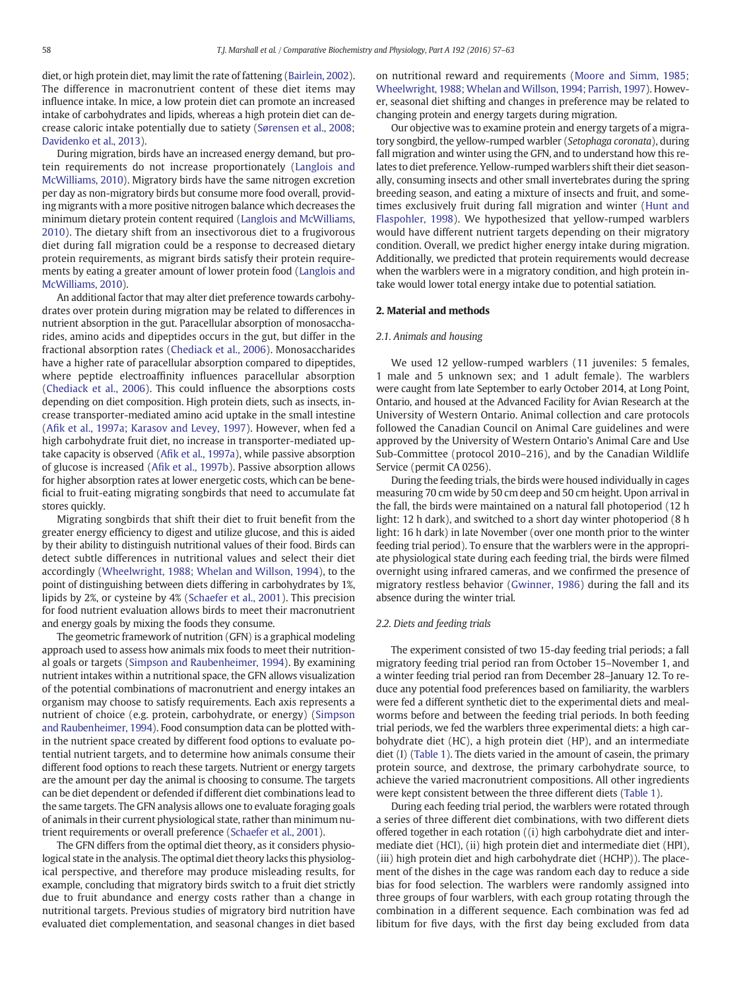diet, or high protein diet, may limit the rate of fattening [\(Bairlein, 2002\)](#page-5-0). The difference in macronutrient content of these diet items may influence intake. In mice, a low protein diet can promote an increased intake of carbohydrates and lipids, whereas a high protein diet can decrease caloric intake potentially due to satiety ([Sørensen et al., 2008;](#page-6-0) [Davidenko et al., 2013\)](#page-6-0).

During migration, birds have an increased energy demand, but protein requirements do not increase proportionately ([Langlois and](#page-5-0) [McWilliams, 2010\)](#page-5-0). Migratory birds have the same nitrogen excretion per day as non-migratory birds but consume more food overall, providing migrants with a more positive nitrogen balance which decreases the minimum dietary protein content required [\(Langlois and McWilliams,](#page-5-0) [2010](#page-5-0)). The dietary shift from an insectivorous diet to a frugivorous diet during fall migration could be a response to decreased dietary protein requirements, as migrant birds satisfy their protein requirements by eating a greater amount of lower protein food ([Langlois and](#page-5-0) [McWilliams, 2010\)](#page-5-0).

An additional factor that may alter diet preference towards carbohydrates over protein during migration may be related to differences in nutrient absorption in the gut. Paracellular absorption of monosaccharides, amino acids and dipeptides occurs in the gut, but differ in the fractional absorption rates [\(Chediack et al., 2006](#page-5-0)). Monosaccharides have a higher rate of paracellular absorption compared to dipeptides, where peptide electroaffinity influences paracellular absorption [\(Chediack et al., 2006\)](#page-5-0). This could influence the absorptions costs depending on diet composition. High protein diets, such as insects, increase transporter-mediated amino acid uptake in the small intestine (Afi[k et al., 1997a; Karasov and Levey, 1997](#page-5-0)). However, when fed a high carbohydrate fruit diet, no increase in transporter-mediated uptake capacity is observed (Afi[k et al., 1997a](#page-5-0)), while passive absorption of glucose is increased (Afi[k et al., 1997b](#page-5-0)). Passive absorption allows for higher absorption rates at lower energetic costs, which can be beneficial to fruit-eating migrating songbirds that need to accumulate fat stores quickly.

Migrating songbirds that shift their diet to fruit benefit from the greater energy efficiency to digest and utilize glucose, and this is aided by their ability to distinguish nutritional values of their food. Birds can detect subtle differences in nutritional values and select their diet accordingly ([Wheelwright, 1988; Whelan and Willson, 1994](#page-6-0)), to the point of distinguishing between diets differing in carbohydrates by 1%, lipids by 2%, or cysteine by 4% [\(Schaefer et al., 2001\)](#page-5-0). This precision for food nutrient evaluation allows birds to meet their macronutrient and energy goals by mixing the foods they consume.

The geometric framework of nutrition (GFN) is a graphical modeling approach used to assess how animals mix foods to meet their nutritional goals or targets ([Simpson and Raubenheimer, 1994\)](#page-5-0). By examining nutrient intakes within a nutritional space, the GFN allows visualization of the potential combinations of macronutrient and energy intakes an organism may choose to satisfy requirements. Each axis represents a nutrient of choice (e.g. protein, carbohydrate, or energy) [\(Simpson](#page-5-0) [and Raubenheimer, 1994](#page-5-0)). Food consumption data can be plotted within the nutrient space created by different food options to evaluate potential nutrient targets, and to determine how animals consume their different food options to reach these targets. Nutrient or energy targets are the amount per day the animal is choosing to consume. The targets can be diet dependent or defended if different diet combinations lead to the same targets. The GFN analysis allows one to evaluate foraging goals of animals in their current physiological state, rather than minimum nutrient requirements or overall preference [\(Schaefer et al., 2001\)](#page-5-0).

The GFN differs from the optimal diet theory, as it considers physiological state in the analysis. The optimal diet theory lacks this physiological perspective, and therefore may produce misleading results, for example, concluding that migratory birds switch to a fruit diet strictly due to fruit abundance and energy costs rather than a change in nutritional targets. Previous studies of migratory bird nutrition have evaluated diet complementation, and seasonal changes in diet based on nutritional reward and requirements ([Moore and Simm, 1985;](#page-5-0) [Wheelwright, 1988; Whelan and Willson, 1994; Parrish, 1997\)](#page-5-0). However, seasonal diet shifting and changes in preference may be related to changing protein and energy targets during migration.

Our objective was to examine protein and energy targets of a migratory songbird, the yellow-rumped warbler (Setophaga coronata), during fall migration and winter using the GFN, and to understand how this relates to diet preference. Yellow-rumped warblers shift their diet seasonally, consuming insects and other small invertebrates during the spring breeding season, and eating a mixture of insects and fruit, and sometimes exclusively fruit during fall migration and winter [\(Hunt and](#page-5-0) [Flaspohler, 1998\)](#page-5-0). We hypothesized that yellow-rumped warblers would have different nutrient targets depending on their migratory condition. Overall, we predict higher energy intake during migration. Additionally, we predicted that protein requirements would decrease when the warblers were in a migratory condition, and high protein intake would lower total energy intake due to potential satiation.

# 2. Material and methods

# 2.1. Animals and housing

We used 12 yellow-rumped warblers (11 juveniles: 5 females, 1 male and 5 unknown sex; and 1 adult female). The warblers were caught from late September to early October 2014, at Long Point, Ontario, and housed at the Advanced Facility for Avian Research at the University of Western Ontario. Animal collection and care protocols followed the Canadian Council on Animal Care guidelines and were approved by the University of Western Ontario's Animal Care and Use Sub-Committee (protocol 2010–216), and by the Canadian Wildlife Service (permit CA 0256).

During the feeding trials, the birds were housed individually in cages measuring 70 cm wide by 50 cm deep and 50 cm height. Upon arrival in the fall, the birds were maintained on a natural fall photoperiod (12 h light: 12 h dark), and switched to a short day winter photoperiod (8 h light: 16 h dark) in late November (over one month prior to the winter feeding trial period). To ensure that the warblers were in the appropriate physiological state during each feeding trial, the birds were filmed overnight using infrared cameras, and we confirmed the presence of migratory restless behavior ([Gwinner, 1986](#page-5-0)) during the fall and its absence during the winter trial.

# 2.2. Diets and feeding trials

The experiment consisted of two 15-day feeding trial periods; a fall migratory feeding trial period ran from October 15–November 1, and a winter feeding trial period ran from December 28–January 12. To reduce any potential food preferences based on familiarity, the warblers were fed a different synthetic diet to the experimental diets and mealworms before and between the feeding trial periods. In both feeding trial periods, we fed the warblers three experimental diets: a high carbohydrate diet (HC), a high protein diet (HP), and an intermediate diet (I) [\(Table 1\)](#page-2-0). The diets varied in the amount of casein, the primary protein source, and dextrose, the primary carbohydrate source, to achieve the varied macronutrient compositions. All other ingredients were kept consistent between the three different diets ([Table 1](#page-2-0)).

During each feeding trial period, the warblers were rotated through a series of three different diet combinations, with two different diets offered together in each rotation ((i) high carbohydrate diet and intermediate diet (HCI), (ii) high protein diet and intermediate diet (HPI), (iii) high protein diet and high carbohydrate diet (HCHP)). The placement of the dishes in the cage was random each day to reduce a side bias for food selection. The warblers were randomly assigned into three groups of four warblers, with each group rotating through the combination in a different sequence. Each combination was fed ad libitum for five days, with the first day being excluded from data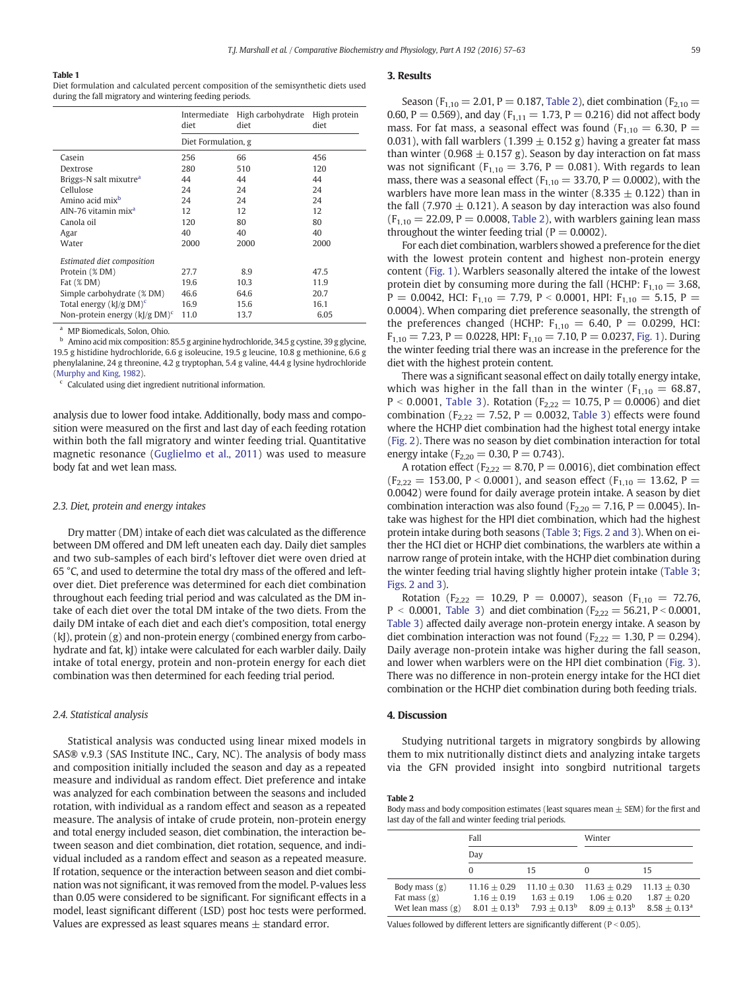#### <span id="page-2-0"></span>Table 1

Diet formulation and calculated percent composition of the semisynthetic diets used during the fall migratory and wintering feeding periods.

|                                             | Intermediate<br>diet | High carbohydrate<br>diet | High protein<br>diet |  |  |
|---------------------------------------------|----------------------|---------------------------|----------------------|--|--|
|                                             | Diet Formulation, g  |                           |                      |  |  |
| Casein                                      | 256                  | 66                        | 456                  |  |  |
| Dextrose                                    | 280                  | 510                       | 120                  |  |  |
| Briggs-N salt mixutre <sup>a</sup>          | 44                   | 44                        | 44                   |  |  |
| Cellulose                                   | 24                   | 24                        | 24                   |  |  |
| Amino acid mix <sup>b</sup>                 | 24                   | 24                        | 24                   |  |  |
| AIN-76 vitamin mix <sup>a</sup>             | 12                   | 12                        | 12                   |  |  |
| Canola oil                                  | 120                  | 80                        | 80                   |  |  |
| Agar                                        | 40                   | 40                        | 40                   |  |  |
| Water                                       | 2000                 | 2000                      | 2000                 |  |  |
| Estimated diet composition                  |                      |                           |                      |  |  |
| Protein (% DM)                              | 27.7                 | 8.9                       | 47.5                 |  |  |
| Fat (% DM)                                  | 19.6                 | 10.3                      | 11.9                 |  |  |
| Simple carbohydrate (% DM)                  | 46.6                 | 64.6                      | 20.7                 |  |  |
| Total energy $(k)/g$ DM) <sup>c</sup>       | 16.9                 | 15.6                      | 16.1                 |  |  |
| Non-protein energy $(k)/g$ DM) <sup>c</sup> | 11.0                 | 13.7                      | 6.05                 |  |  |

MP Biomedicals, Solon, Ohio.

<sup>b</sup> Amino acid mix composition: 85.5 g arginine hydrochloride, 34.5 g cystine, 39 g glycine, 19.5 g histidine hydrochloride, 6.6 g isoleucine, 19.5 g leucine, 10.8 g methionine, 6.6 g phenylalanine, 24 g threonine, 4.2 g tryptophan, 5.4 g valine, 44.4 g lysine hydrochloride [\(Murphy and King, 1982](#page-5-0)).

 $c$  Calculated using diet ingredient nutritional information.

analysis due to lower food intake. Additionally, body mass and composition were measured on the first and last day of each feeding rotation within both the fall migratory and winter feeding trial. Quantitative magnetic resonance ([Guglielmo et al., 2011\)](#page-5-0) was used to measure body fat and wet lean mass.

#### 2.3. Diet, protein and energy intakes

Dry matter (DM) intake of each diet was calculated as the difference between DM offered and DM left uneaten each day. Daily diet samples and two sub-samples of each bird's leftover diet were oven dried at 65 °C, and used to determine the total dry mass of the offered and leftover diet. Diet preference was determined for each diet combination throughout each feeding trial period and was calculated as the DM intake of each diet over the total DM intake of the two diets. From the daily DM intake of each diet and each diet's composition, total energy  $(k)$ , protein  $(g)$  and non-protein energy (combined energy from carbohydrate and fat, kJ) intake were calculated for each warbler daily. Daily intake of total energy, protein and non-protein energy for each diet combination was then determined for each feeding trial period.

# 2.4. Statistical analysis

Statistical analysis was conducted using linear mixed models in SAS® v.9.3 (SAS Institute INC., Cary, NC). The analysis of body mass and composition initially included the season and day as a repeated measure and individual as random effect. Diet preference and intake was analyzed for each combination between the seasons and included rotation, with individual as a random effect and season as a repeated measure. The analysis of intake of crude protein, non-protein energy and total energy included season, diet combination, the interaction between season and diet combination, diet rotation, sequence, and individual included as a random effect and season as a repeated measure. If rotation, sequence or the interaction between season and diet combination was not significant, it was removed from the model. P-values less than 0.05 were considered to be significant. For significant effects in a model, least significant different (LSD) post hoc tests were performed. Values are expressed as least squares means  $\pm$  standard error.

# 3. Results

Season (F<sub>1,10</sub> = 2,01, P = 0.187, Table 2), diet combination (F<sub>2,10</sub> = 0.60, P = 0.569), and day ( $F_{1,11}$  = 1.73, P = 0.216) did not affect body mass. For fat mass, a seasonal effect was found ( $F_{1,10} = 6.30$ , P = 0.031), with fall warblers (1.399  $\pm$  0.152 g) having a greater fat mass than winter (0.968  $\pm$  0.157 g). Season by day interaction on fat mass was not significant ( $F_{1,10} = 3.76$ ,  $P = 0.081$ ). With regards to lean mass, there was a seasonal effect ( $F_{1,10} = 33.70$ ,  $P = 0.0002$ ), with the warblers have more lean mass in the winter (8.335  $\pm$  0.122) than in the fall (7.970  $\pm$  0.121). A season by day interaction was also found  $(F<sub>1,10</sub> = 22.09, P = 0.0008, Table 2)$ , with warblers gaining lean mass throughout the winter feeding trial ( $P = 0.0002$ ).

For each diet combination, warblers showed a preference for the diet with the lowest protein content and highest non-protein energy content [\(Fig. 1\)](#page-3-0). Warblers seasonally altered the intake of the lowest protein diet by consuming more during the fall (HCHP:  $F_{1,10} = 3.68$ ,  $P = 0.0042$ , HCI:  $F_{1,10} = 7.79$ , P < 0.0001, HPI:  $F_{1,10} = 5.15$ , P = 0.0004). When comparing diet preference seasonally, the strength of the preferences changed (HCHP:  $F_{1,10} = 6.40$ ,  $P = 0.0299$ , HCI:  $F_{1,10} = 7.23$ , P = 0.0228, HPI:  $F_{1,10} = 7.10$ , P = 0.0237, [Fig. 1\)](#page-3-0). During the winter feeding trial there was an increase in the preference for the diet with the highest protein content.

There was a significant seasonal effect on daily totally energy intake, which was higher in the fall than in the winter ( $F_{1,10} = 68.87$ , P < 0.0001, [Table 3\)](#page-4-0). Rotation ( $F_{2,22} = 10.75$ , P = 0.0006) and diet combination ( $F_{2,22} = 7.52$ , P = 0.0032, [Table 3](#page-4-0)) effects were found where the HCHP diet combination had the highest total energy intake [\(Fig. 2\)](#page-4-0). There was no season by diet combination interaction for total energy intake ( $F_{2,20} = 0.30$ ,  $P = 0.743$ ).

A rotation effect ( $F_{2,22} = 8.70$ ,  $P = 0.0016$ ), diet combination effect  $(F_{2,22} = 153.00, P < 0.0001)$ , and season effect  $(F_{1,10} = 13.62, P =$ 0.0042) were found for daily average protein intake. A season by diet combination interaction was also found ( $F_{2,20} = 7.16$ ,  $P = 0.0045$ ). Intake was highest for the HPI diet combination, which had the highest protein intake during both seasons [\(Table 3](#page-4-0); [Figs. 2 and 3\)](#page-4-0). When on either the HCI diet or HCHP diet combinations, the warblers ate within a narrow range of protein intake, with the HCHP diet combination during the winter feeding trial having slightly higher protein intake ([Table 3;](#page-4-0) [Figs. 2 and 3\)](#page-4-0).

Rotation (F<sub>2,22</sub> = 10,29, P = 0,0007), season (F<sub>1,10</sub> = 72,76,  $P < 0.0001$ , [Table 3](#page-4-0)) and diet combination (F<sub>2,22</sub> = 56.21, P < 0.0001, [Table 3](#page-4-0)) affected daily average non-protein energy intake. A season by diet combination interaction was not found ( $F_{2,22} = 1.30$ ,  $P = 0.294$ ). Daily average non-protein intake was higher during the fall season, and lower when warblers were on the HPI diet combination ([Fig. 3](#page-4-0)). There was no difference in non-protein energy intake for the HCI diet combination or the HCHP diet combination during both feeding trials.

### 4. Discussion

Studying nutritional targets in migratory songbirds by allowing them to mix nutritionally distinct diets and analyzing intake targets via the GFN provided insight into songbird nutritional targets

# Table 2

Body mass and body composition estimates (least squares mean  $\pm$  SEM) for the first and last day of the fall and winter feeding trial periods.

|                     | Fall            |                 | Winter          |                            |  |
|---------------------|-----------------|-----------------|-----------------|----------------------------|--|
|                     | Day             |                 |                 |                            |  |
|                     | 0               | 15              |                 | 15                         |  |
| Body mass $(g)$     | $11.16 + 0.29$  | $11.10 + 0.30$  | $11.63 + 0.29$  | $11.13 + 0.30$             |  |
| Fat mass $(g)$      | $1.16 + 0.19$   | $1.63 + 0.19$   | $1.06 + 0.20$   | $1.87 + 0.20$              |  |
| Wet lean mass $(g)$ | $8.01 + 0.13^b$ | $7.93 + 0.13^b$ | $8.09 + 0.13^b$ | $8.58 + 0.13$ <sup>a</sup> |  |

Values followed by different letters are significantly different ( $P < 0.05$ ).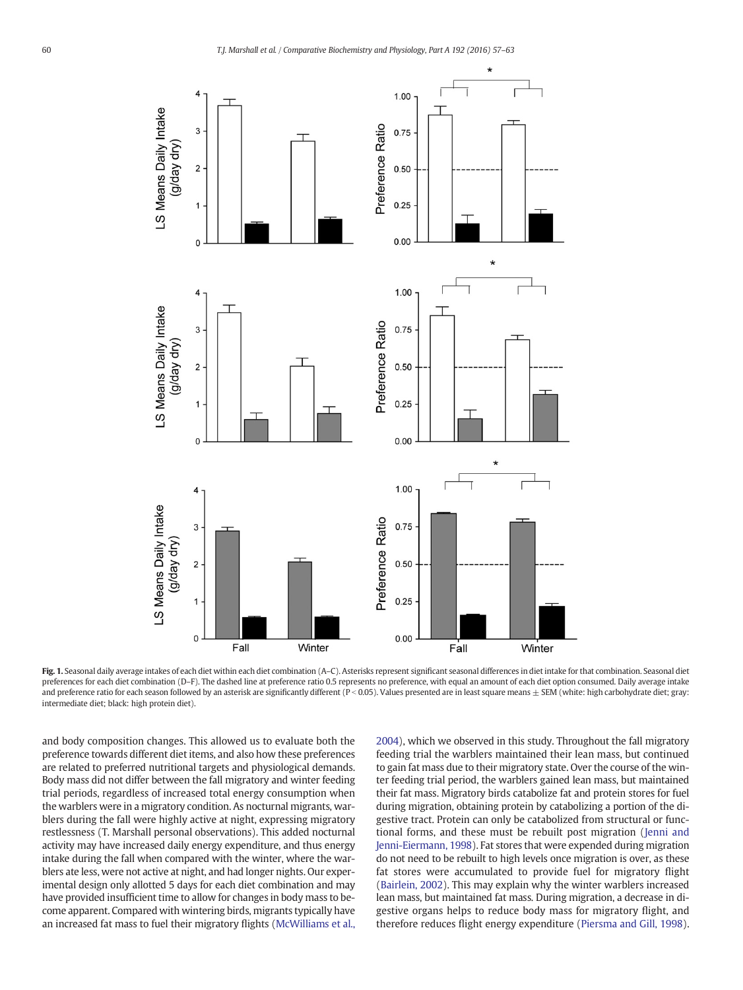<span id="page-3-0"></span>

Fig. 1. Seasonal daily average intakes of each diet within each diet combination (A–C). Asterisks represent significant seasonal differences in diet intake for that combination. Seasonal diet preferences for each diet combination (D–F). The dashed line at preference ratio 0.5 represents no preference, with equal an amount of each diet option consumed. Daily average intake and preference ratio for each season followed by an asterisk are significantly different (P < 0.05). Values presented are in least square means  $\pm$  SEM (white: high carbohydrate diet; gray: intermediate diet; black: high protein diet).

and body composition changes. This allowed us to evaluate both the preference towards different diet items, and also how these preferences are related to preferred nutritional targets and physiological demands. Body mass did not differ between the fall migratory and winter feeding trial periods, regardless of increased total energy consumption when the warblers were in a migratory condition. As nocturnal migrants, warblers during the fall were highly active at night, expressing migratory restlessness (T. Marshall personal observations). This added nocturnal activity may have increased daily energy expenditure, and thus energy intake during the fall when compared with the winter, where the warblers ate less, were not active at night, and had longer nights. Our experimental design only allotted 5 days for each diet combination and may have provided insufficient time to allow for changes in body mass to become apparent. Compared with wintering birds, migrants typically have an increased fat mass to fuel their migratory flights [\(McWilliams et al.,](#page-5-0) [2004\)](#page-5-0), which we observed in this study. Throughout the fall migratory feeding trial the warblers maintained their lean mass, but continued to gain fat mass due to their migratory state. Over the course of the winter feeding trial period, the warblers gained lean mass, but maintained their fat mass. Migratory birds catabolize fat and protein stores for fuel during migration, obtaining protein by catabolizing a portion of the digestive tract. Protein can only be catabolized from structural or functional forms, and these must be rebuilt post migration ([Jenni and](#page-5-0) [Jenni-Eiermann, 1998](#page-5-0)). Fat stores that were expended during migration do not need to be rebuilt to high levels once migration is over, as these fat stores were accumulated to provide fuel for migratory flight [\(Bairlein, 2002](#page-5-0)). This may explain why the winter warblers increased lean mass, but maintained fat mass. During migration, a decrease in digestive organs helps to reduce body mass for migratory flight, and therefore reduces flight energy expenditure ([Piersma and Gill, 1998](#page-5-0)).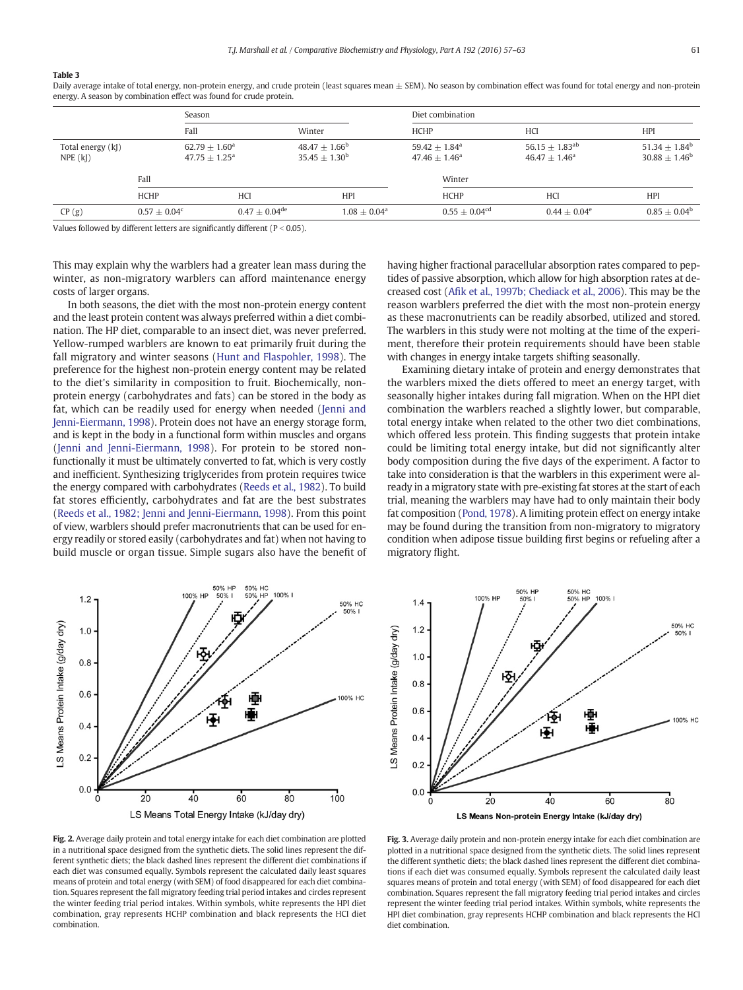#### <span id="page-4-0"></span>Table 3

Daily average intake of total energy, non-protein energy, and crude protein (least squares mean  $\pm$  SEM). No season by combination effect was found for total energy and non-protein energy. A season by combination effect was found for crude protein.

|                             | Season                                                      |                           |                                                                                                         | Diet combination          |                                                        |                                      |  |
|-----------------------------|-------------------------------------------------------------|---------------------------|---------------------------------------------------------------------------------------------------------|---------------------------|--------------------------------------------------------|--------------------------------------|--|
|                             | Fall                                                        |                           | Winter                                                                                                  | <b>HCHP</b>               | HCI                                                    | <b>HPI</b>                           |  |
| Total energy (kJ)<br>NPE(k) | $62.79 + 1.60^{\circ}$<br>$47.75 + 1.25^{\text{a}}$<br>Fall |                           | $48.47 + 1.66^b$<br>$59.42 + 1.84$ <sup>a</sup><br>$35.45 + 1.30^b$<br>$47.46 + 1.46^{\circ}$<br>Winter |                           | $56.15 + 1.83$ <sup>ab</sup><br>$46.47 + 1.46^{\circ}$ | $51.34 + 1.84^b$<br>$30.88 + 1.46^b$ |  |
|                             | <b>HCHP</b>                                                 | HCI                       | <b>HPI</b>                                                                                              | <b>HCHP</b>               | HCI                                                    | <b>HPI</b>                           |  |
| CP(g)                       | $0.57 + 0.04^c$                                             | $0.47 + 0.04^{\text{de}}$ | $1.08 + 0.04$ <sup>a</sup>                                                                              | $0.55 + 0.04^{\text{cd}}$ | $0.44 + 0.04^e$                                        | $0.85 + 0.04^b$                      |  |

Values followed by different letters are significantly different ( $P < 0.05$ ).

This may explain why the warblers had a greater lean mass during the winter, as non-migratory warblers can afford maintenance energy costs of larger organs.

In both seasons, the diet with the most non-protein energy content and the least protein content was always preferred within a diet combination. The HP diet, comparable to an insect diet, was never preferred. Yellow-rumped warblers are known to eat primarily fruit during the fall migratory and winter seasons ([Hunt and Flaspohler, 1998](#page-5-0)). The preference for the highest non-protein energy content may be related to the diet's similarity in composition to fruit. Biochemically, nonprotein energy (carbohydrates and fats) can be stored in the body as fat, which can be readily used for energy when needed [\(Jenni and](#page-5-0) [Jenni-Eiermann, 1998](#page-5-0)). Protein does not have an energy storage form, and is kept in the body in a functional form within muscles and organs [\(Jenni and Jenni-Eiermann, 1998](#page-5-0)). For protein to be stored nonfunctionally it must be ultimately converted to fat, which is very costly and inefficient. Synthesizing triglycerides from protein requires twice the energy compared with carbohydrates [\(Reeds et al., 1982](#page-5-0)). To build fat stores efficiently, carbohydrates and fat are the best substrates [\(Reeds et al., 1982; Jenni and Jenni-Eiermann, 1998\)](#page-5-0). From this point of view, warblers should prefer macronutrients that can be used for energy readily or stored easily (carbohydrates and fat) when not having to build muscle or organ tissue. Simple sugars also have the benefit of having higher fractional paracellular absorption rates compared to peptides of passive absorption, which allow for high absorption rates at decreased cost (Afi[k et al., 1997b; Chediack et al., 2006](#page-5-0)). This may be the reason warblers preferred the diet with the most non-protein energy as these macronutrients can be readily absorbed, utilized and stored. The warblers in this study were not molting at the time of the experiment, therefore their protein requirements should have been stable with changes in energy intake targets shifting seasonally.

Examining dietary intake of protein and energy demonstrates that the warblers mixed the diets offered to meet an energy target, with seasonally higher intakes during fall migration. When on the HPI diet combination the warblers reached a slightly lower, but comparable, total energy intake when related to the other two diet combinations, which offered less protein. This finding suggests that protein intake could be limiting total energy intake, but did not significantly alter body composition during the five days of the experiment. A factor to take into consideration is that the warblers in this experiment were already in a migratory state with pre-existing fat stores at the start of each trial, meaning the warblers may have had to only maintain their body fat composition ([Pond, 1978](#page-5-0)). A limiting protein effect on energy intake may be found during the transition from non-migratory to migratory condition when adipose tissue building first begins or refueling after a migratory flight.





Fig. 2. Average daily protein and total energy intake for each diet combination are plotted in a nutritional space designed from the synthetic diets. The solid lines represent the different synthetic diets; the black dashed lines represent the different diet combinations if each diet was consumed equally. Symbols represent the calculated daily least squares means of protein and total energy (with SEM) of food disappeared for each diet combination. Squares represent the fall migratory feeding trial period intakes and circles represent the winter feeding trial period intakes. Within symbols, white represents the HPI diet combination, gray represents HCHP combination and black represents the HCI diet combination.

Fig. 3. Average daily protein and non-protein energy intake for each diet combination are plotted in a nutritional space designed from the synthetic diets. The solid lines represent the different synthetic diets; the black dashed lines represent the different diet combinations if each diet was consumed equally. Symbols represent the calculated daily least squares means of protein and total energy (with SEM) of food disappeared for each diet combination. Squares represent the fall migratory feeding trial period intakes and circles represent the winter feeding trial period intakes. Within symbols, white represents the HPI diet combination, gray represents HCHP combination and black represents the HCI diet combination.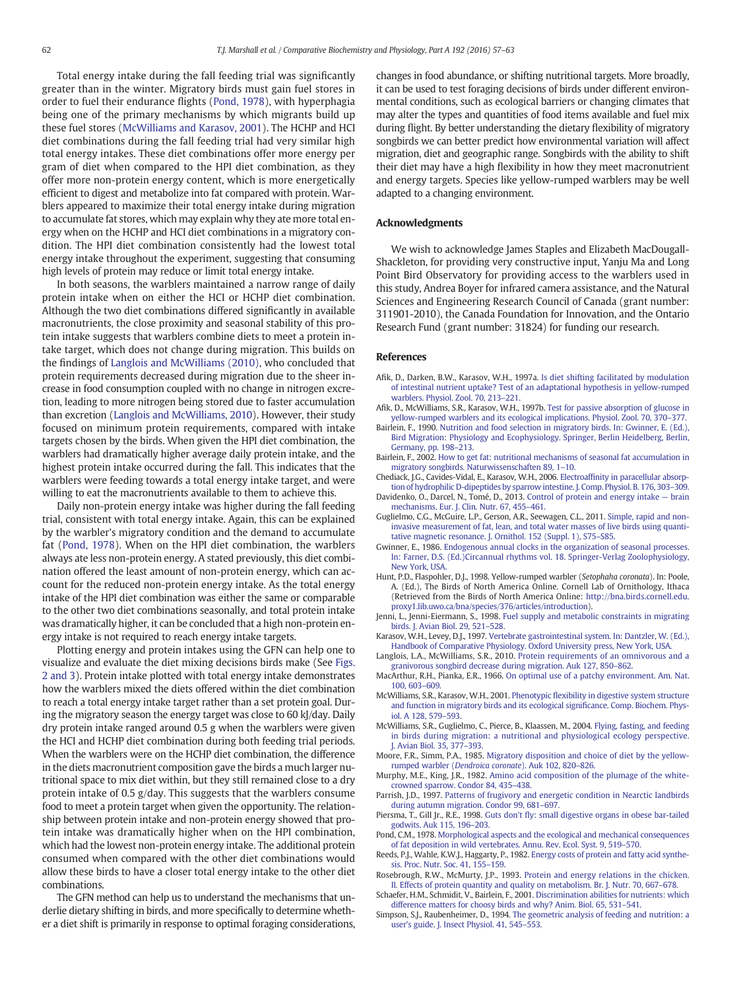<span id="page-5-0"></span>Total energy intake during the fall feeding trial was significantly greater than in the winter. Migratory birds must gain fuel stores in order to fuel their endurance flights (Pond, 1978), with hyperphagia being one of the primary mechanisms by which migrants build up these fuel stores (McWilliams and Karasov, 2001). The HCHP and HCI diet combinations during the fall feeding trial had very similar high total energy intakes. These diet combinations offer more energy per gram of diet when compared to the HPI diet combination, as they offer more non-protein energy content, which is more energetically efficient to digest and metabolize into fat compared with protein. Warblers appeared to maximize their total energy intake during migration to accumulate fat stores, which may explain why they ate more total energy when on the HCHP and HCI diet combinations in a migratory condition. The HPI diet combination consistently had the lowest total energy intake throughout the experiment, suggesting that consuming high levels of protein may reduce or limit total energy intake.

In both seasons, the warblers maintained a narrow range of daily protein intake when on either the HCI or HCHP diet combination. Although the two diet combinations differed significantly in available macronutrients, the close proximity and seasonal stability of this protein intake suggests that warblers combine diets to meet a protein intake target, which does not change during migration. This builds on the findings of Langlois and McWilliams (2010), who concluded that protein requirements decreased during migration due to the sheer increase in food consumption coupled with no change in nitrogen excretion, leading to more nitrogen being stored due to faster accumulation than excretion (Langlois and McWilliams, 2010). However, their study focused on minimum protein requirements, compared with intake targets chosen by the birds. When given the HPI diet combination, the warblers had dramatically higher average daily protein intake, and the highest protein intake occurred during the fall. This indicates that the warblers were feeding towards a total energy intake target, and were willing to eat the macronutrients available to them to achieve this.

Daily non-protein energy intake was higher during the fall feeding trial, consistent with total energy intake. Again, this can be explained by the warbler's migratory condition and the demand to accumulate fat (Pond, 1978). When on the HPI diet combination, the warblers always ate less non-protein energy. A stated previously, this diet combination offered the least amount of non-protein energy, which can account for the reduced non-protein energy intake. As the total energy intake of the HPI diet combination was either the same or comparable to the other two diet combinations seasonally, and total protein intake was dramatically higher, it can be concluded that a high non-protein energy intake is not required to reach energy intake targets.

Plotting energy and protein intakes using the GFN can help one to visualize and evaluate the diet mixing decisions birds make (See [Figs.](#page-4-0) [2 and 3](#page-4-0)). Protein intake plotted with total energy intake demonstrates how the warblers mixed the diets offered within the diet combination to reach a total energy intake target rather than a set protein goal. During the migratory season the energy target was close to 60 kJ/day. Daily dry protein intake ranged around 0.5 g when the warblers were given the HCI and HCHP diet combination during both feeding trial periods. When the warblers were on the HCHP diet combination, the difference in the diets macronutrient composition gave the birds a much larger nutritional space to mix diet within, but they still remained close to a dry protein intake of 0.5 g/day. This suggests that the warblers consume food to meet a protein target when given the opportunity. The relationship between protein intake and non-protein energy showed that protein intake was dramatically higher when on the HPI combination, which had the lowest non-protein energy intake. The additional protein consumed when compared with the other diet combinations would allow these birds to have a closer total energy intake to the other diet combinations.

The GFN method can help us to understand the mechanisms that underlie dietary shifting in birds, and more specifically to determine whether a diet shift is primarily in response to optimal foraging considerations, changes in food abundance, or shifting nutritional targets. More broadly, it can be used to test foraging decisions of birds under different environmental conditions, such as ecological barriers or changing climates that may alter the types and quantities of food items available and fuel mix during flight. By better understanding the dietary flexibility of migratory songbirds we can better predict how environmental variation will affect migration, diet and geographic range. Songbirds with the ability to shift their diet may have a high flexibility in how they meet macronutrient and energy targets. Species like yellow-rumped warblers may be well adapted to a changing environment.

# Acknowledgments

We wish to acknowledge James Staples and Elizabeth MacDougall-Shackleton, for providing very constructive input, Yanju Ma and Long Point Bird Observatory for providing access to the warblers used in this study, Andrea Boyer for infrared camera assistance, and the Natural Sciences and Engineering Research Council of Canada (grant number: 311901-2010), the Canada Foundation for Innovation, and the Ontario Research Fund (grant number: 31824) for funding our research.

#### References

- Afik, D., Darken, B.W., Karasov, W.H., 1997a. [Is diet shifting facilitated by modulation](http://refhub.elsevier.com/S1095-6433(15)00305-0/rf0005) [of intestinal nutrient uptake? Test of an adaptational hypothesis in yellow-rumped](http://refhub.elsevier.com/S1095-6433(15)00305-0/rf0005) [warblers. Physiol. Zool. 70, 213](http://refhub.elsevier.com/S1095-6433(15)00305-0/rf0005)–221.
- Afik, D., McWilliams, S.R., Karasov, W.H., 1997b. [Test for passive absorption of glucose in](http://refhub.elsevier.com/S1095-6433(15)00305-0/rf0010) [yellow-rumped warblers and its ecological implications. Physiol. Zool. 70, 370](http://refhub.elsevier.com/S1095-6433(15)00305-0/rf0010)–377.
- Bairlein, F., 1990. [Nutrition and food selection in migratory birds. In: Gwinner, E. \(Ed.\),](http://refhub.elsevier.com/S1095-6433(15)00305-0/rf0015) [Bird Migration: Physiology and Ecophysiology. Springer, Berlin Heidelberg, Berlin,](http://refhub.elsevier.com/S1095-6433(15)00305-0/rf0015) [Germany, pp. 198](http://refhub.elsevier.com/S1095-6433(15)00305-0/rf0015)–213.
- Bairlein, F., 2002. [How to get fat: nutritional mechanisms of seasonal fat accumulation in](http://refhub.elsevier.com/S1095-6433(15)00305-0/rf0020) [migratory songbirds. Naturwissenschaften 89, 1](http://refhub.elsevier.com/S1095-6433(15)00305-0/rf0020)–10.
- Chediack, J.G., Cavides-Vidal, E., Karasov, W.H., 2006. Electroaffi[nity in paracellular absorp](http://refhub.elsevier.com/S1095-6433(15)00305-0/rf0025)[tion of hydrophilic D-dipeptides by sparrow intestine. J. Comp. Physiol. B. 176, 303](http://refhub.elsevier.com/S1095-6433(15)00305-0/rf0025)–309.
- Davidenko, O., Darcel, N., Tomé, D., 2013. [Control of protein and energy intake](http://refhub.elsevier.com/S1095-6433(15)00305-0/rf0030) brain [mechanisms. Eur. J. Clin. Nutr. 67, 455](http://refhub.elsevier.com/S1095-6433(15)00305-0/rf0030)–461.
- Guglielmo, C.G., McGuire, L.P., Gerson, A.R., Seewagen, C.L., 2011. [Simple, rapid and non](http://refhub.elsevier.com/S1095-6433(15)00305-0/rf0035)[invasive measurement of fat, lean, and total water masses of live birds using quanti](http://refhub.elsevier.com/S1095-6433(15)00305-0/rf0035)[tative magnetic resonance. J. Ornithol. 152 \(Suppl. 1\), S75](http://refhub.elsevier.com/S1095-6433(15)00305-0/rf0035)–S85.
- Gwinner, E., 1986. [Endogenous annual clocks in the organization of seasonal processes.](http://refhub.elsevier.com/S1095-6433(15)00305-0/rf0140) [In: Farner, D.S. \(Ed.\)Circannual rhythms vol. 18. Springer-Verlag Zoolophysiology,](http://refhub.elsevier.com/S1095-6433(15)00305-0/rf0140) [New York, USA](http://refhub.elsevier.com/S1095-6433(15)00305-0/rf0140).
- Hunt, P.D., Flaspohler, D.J., 1998. Yellow-rumped warbler (Setophaha coronata). In: Poole, A. (Ed.), The Birds of North America Online. Cornell Lab of Ornithology, Ithaca (Retrieved from the Birds of North America Online: [http://bna.birds.cornell.edu.](http://bna.birds.cornell.edu.proxy1.lib.uwo.ca/bna/species/376/articles/introduction) [proxy1.lib.uwo.ca/bna/species/376/articles/introduction](http://bna.birds.cornell.edu.proxy1.lib.uwo.ca/bna/species/376/articles/introduction)).
- Jenni, L., Jenni-Eiermann, S., 1998. [Fuel supply and metabolic constraints in migrating](http://refhub.elsevier.com/S1095-6433(15)00305-0/rf0045) [birds. J. Avian Biol. 29, 521](http://refhub.elsevier.com/S1095-6433(15)00305-0/rf0045)–528.
- Karasov, W.H., Levey, D.J., 1997. [Vertebrate gastrointestinal system. In: Dantzler, W. \(Ed.\),](http://refhub.elsevier.com/S1095-6433(15)00305-0/rf0150) [Handbook of Comparative Physiology. Oxford University press, New York, USA](http://refhub.elsevier.com/S1095-6433(15)00305-0/rf0150).
- Langlois, L.A., McWilliams, S.R., 2010. [Protein requirements of an omnivorous and a](http://refhub.elsevier.com/S1095-6433(15)00305-0/rf0050) [granivorous songbird decrease during migration. Auk 127, 850](http://refhub.elsevier.com/S1095-6433(15)00305-0/rf0050)–862.
- MacArthur, R.H., Pianka, E.R., 1966. [On optimal use of a patchy environment. Am. Nat.](http://refhub.elsevier.com/S1095-6433(15)00305-0/rf0055) [100, 603](http://refhub.elsevier.com/S1095-6433(15)00305-0/rf0055)–609.
- McWilliams, S.R., Karasov, W.H., 2001. Phenotypic fl[exibility in digestive system structure](http://refhub.elsevier.com/S1095-6433(15)00305-0/rf0065) [and function in migratory birds and its ecological signi](http://refhub.elsevier.com/S1095-6433(15)00305-0/rf0065)ficance. Comp. Biochem. Phys[iol. A 128, 579](http://refhub.elsevier.com/S1095-6433(15)00305-0/rf0065)–593.
- McWilliams, S.R., Guglielmo, C., Pierce, B., Klaassen, M., 2004. [Flying, fasting, and feeding](http://refhub.elsevier.com/S1095-6433(15)00305-0/rf0060) [in birds during migration: a nutritional and physiological ecology perspective.](http://refhub.elsevier.com/S1095-6433(15)00305-0/rf0060) [J. Avian Biol. 35, 377](http://refhub.elsevier.com/S1095-6433(15)00305-0/rf0060)–393.
- Moore, F.R., Simm, P.A., 1985. [Migratory disposition and choice of diet by the yellow](http://refhub.elsevier.com/S1095-6433(15)00305-0/rf0070)rumped warbler ([Dendroica coronate](http://refhub.elsevier.com/S1095-6433(15)00305-0/rf0070)). Auk 102, 820–826.
- Murphy, M.E., King, J.R., 1982. [Amino acid composition of the plumage of the white](http://refhub.elsevier.com/S1095-6433(15)00305-0/rf0075)[crowned sparrow. Condor 84, 435](http://refhub.elsevier.com/S1095-6433(15)00305-0/rf0075)–438.
- Parrish, J.D., 1997. [Patterns of frugivory and energetic condition in Nearctic landbirds](http://refhub.elsevier.com/S1095-6433(15)00305-0/rf0080) [during autumn migration. Condor 99, 681](http://refhub.elsevier.com/S1095-6433(15)00305-0/rf0080)–697.
- Piersma, T., Gill Jr., R.E., 1998. Guts don't fl[y: small digestive organs in obese bar-tailed](http://refhub.elsevier.com/S1095-6433(15)00305-0/rf0085) [godwits. Auk 115, 196](http://refhub.elsevier.com/S1095-6433(15)00305-0/rf0085)–203.
- Pond, C.M., 1978. [Morphological aspects and the ecological and mechanical consequences](http://refhub.elsevier.com/S1095-6433(15)00305-0/rf0090) [of fat deposition in wild vertebrates. Annu. Rev. Ecol. Syst. 9, 519](http://refhub.elsevier.com/S1095-6433(15)00305-0/rf0090)–570.
- Reeds, P.J., Wahle, K.W.J., Haggarty, P., 1982. [Energy costs of protein and fatty acid synthe](http://refhub.elsevier.com/S1095-6433(15)00305-0/rf0095)[sis. Proc. Nutr. Soc. 41, 155](http://refhub.elsevier.com/S1095-6433(15)00305-0/rf0095)–159.
- Rosebrough, R.W., McMurty, J.P., 1993. [Protein and energy relations in the chicken.](http://refhub.elsevier.com/S1095-6433(15)00305-0/rf0100) [II. Effects of protein quantity and quality on metabolism. Br. J. Nutr. 70, 667](http://refhub.elsevier.com/S1095-6433(15)00305-0/rf0100)–678.
- Schaefer, H.M., Schmidit, V., Bairlein, F., 2001. [Discrimination abilities for nutrients: which](http://refhub.elsevier.com/S1095-6433(15)00305-0/rf0105) [difference matters for choosy birds and why? Anim. Biol. 65, 531](http://refhub.elsevier.com/S1095-6433(15)00305-0/rf0105)–541.
- Simpson, S.J., Raubenheimer, D., 1994. [The geometric analysis of feeding and nutrition: a](http://refhub.elsevier.com/S1095-6433(15)00305-0/rf0110) [user's guide. J. Insect Physiol. 41, 545](http://refhub.elsevier.com/S1095-6433(15)00305-0/rf0110)–553.